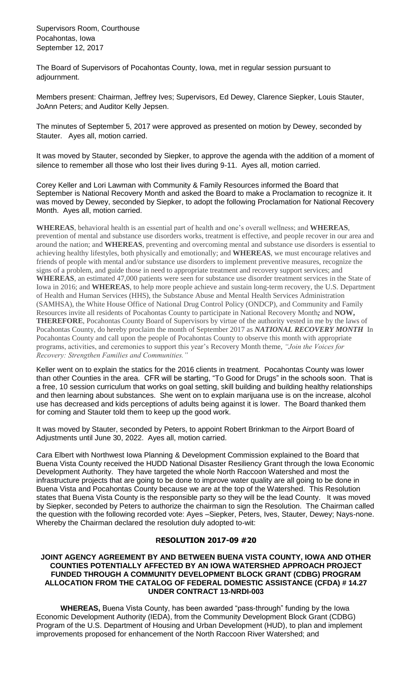Supervisors Room, Courthouse Pocahontas, Iowa September 12, 2017

The Board of Supervisors of Pocahontas County, Iowa, met in regular session pursuant to adjournment.

Members present: Chairman, Jeffrey Ives; Supervisors, Ed Dewey, Clarence Siepker, Louis Stauter, JoAnn Peters; and Auditor Kelly Jepsen.

The minutes of September 5, 2017 were approved as presented on motion by Dewey, seconded by Stauter. Ayes all, motion carried.

It was moved by Stauter, seconded by Siepker, to approve the agenda with the addition of a moment of silence to remember all those who lost their lives during 9-11. Ayes all, motion carried.

Corey Keller and Lori Lawman with Community & Family Resources informed the Board that September is National Recovery Month and asked the Board to make a Proclamation to recognize it. It was moved by Dewey, seconded by Siepker, to adopt the following Proclamation for National Recovery Month. Ayes all, motion carried.

**WHEREAS**, behavioral health is an essential part of health and one's overall wellness; and **WHEREAS**, prevention of mental and substance use disorders works, treatment is effective, and people recover in our area and around the nation; and **WHEREAS**, preventing and overcoming mental and substance use disorders is essential to achieving healthy lifestyles, both physically and emotionally; and **WHEREAS**, we must encourage relatives and friends of people with mental and/or substance use disorders to implement preventive measures, recognize the signs of a problem, and guide those in need to appropriate treatment and recovery support services; and **WHEREAS**, an estimated 47,000 patients were seen for substance use disorder treatment services in the State of Iowa in 2016; and **WHEREAS**, to help more people achieve and sustain long-term recovery, the U.S. Department of Health and Human Services (HHS), the Substance Abuse and Mental Health Services Administration (SAMHSA), the White House Office of National Drug Control Policy (ONDCP), and Community and Family Resources invite all residents of Pocahontas County to participate in National Recovery Month*;* and **NOW, THEREFORE**, Pocahontas County Board of Supervisors by virtue of the authority vested in me by the laws of Pocahontas County, do hereby proclaim the month of September 2017 as *NATIONAL RECOVERY MONTH* In Pocahontas County and call upon the people of Pocahontas County to observe this month with appropriate programs, activities, and ceremonies to support this year's Recovery Month theme, *"Join the Voices for Recovery: Strengthen Families and Communities."* 

Keller went on to explain the statics for the 2016 clients in treatment. Pocahontas County was lower than other Counties in the area. CFR will be starting, "To Good for Drugs" in the schools soon. That is a free, 10 session curriculum that works on goal setting, skill building and building healthy relationships and then learning about substances. She went on to explain marijuana use is on the increase, alcohol use has decreased and kids perceptions of adults being against it is lower. The Board thanked them for coming and Stauter told them to keep up the good work.

It was moved by Stauter, seconded by Peters, to appoint Robert Brinkman to the Airport Board of Adjustments until June 30, 2022. Ayes all, motion carried.

Cara Elbert with Northwest Iowa Planning & Development Commission explained to the Board that Buena Vista County received the HUDD National Disaster Resiliency Grant through the Iowa Economic Development Authority. They have targeted the whole North Raccoon Watershed and most the infrastructure projects that are going to be done to improve water quality are all going to be done in Buena Vista and Pocahontas County because we are at the top of the Watershed. This Resolution states that Buena Vista County is the responsible party so they will be the lead County. It was moved by Siepker, seconded by Peters to authorize the chairman to sign the Resolution. The Chairman called the question with the following recorded vote: Ayes –Siepker, Peters, Ives, Stauter, Dewey; Nays-none. Whereby the Chairman declared the resolution duly adopted to-wit:

## **RESOLUTION 2017-09 #20**

## **JOINT AGENCY AGREEMENT BY AND BETWEEN BUENA VISTA COUNTY, IOWA AND OTHER COUNTIES POTENTIALLY AFFECTED BY AN IOWA WATERSHED APPROACH PROJECT FUNDED THROUGH A COMMUNITY DEVELOPMENT BLOCK GRANT (CDBG) PROGRAM ALLOCATION FROM THE CATALOG OF FEDERAL DOMESTIC ASSISTANCE (CFDA) # 14.27 UNDER CONTRACT 13-NRDI-003**

**WHEREAS,** Buena Vista County, has been awarded "pass-through" funding by the Iowa Economic Development Authority (IEDA), from the Community Development Block Grant (CDBG) Program of the U.S. Department of Housing and Urban Development (HUD), to plan and implement improvements proposed for enhancement of the North Raccoon River Watershed; and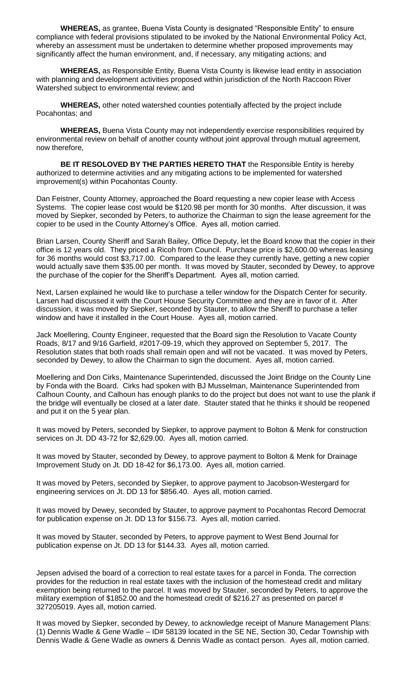**WHEREAS,** as grantee, Buena Vista County is designated "Responsible Entity" to ensure compliance with federal provisions stipulated to be invoked by the National Environmental Policy Act, whereby an assessment must be undertaken to determine whether proposed improvements may significantly affect the human environment, and, if necessary, any mitigating actions; and

**WHEREAS,** as Responsible Entity, Buena Vista County is likewise lead entity in association with planning and development activities proposed within jurisdiction of the North Raccoon River Watershed subject to environmental review; and

**WHEREAS,** other noted watershed counties potentially affected by the project include Pocahontas; and

**WHEREAS,** Buena Vista County may not independently exercise responsibilities required by environmental review on behalf of another county without joint approval through mutual agreement, now therefore,

**BE IT RESOLOVED BY THE PARTIES HERETO THAT** the Responsible Entity is hereby authorized to determine activities and any mitigating actions to be implemented for watershed improvement(s) within Pocahontas County.

Dan Feistner, County Attorney, approached the Board requesting a new copier lease with Access Systems. The copier lease cost would be \$120.98 per month for 30 months. After discussion, it was moved by Siepker, seconded by Peters, to authorize the Chairman to sign the lease agreement for the copier to be used in the County Attorney's Office. Ayes all, motion carried.

Brian Larsen, County Sheriff and Sarah Bailey, Office Deputy, let the Board know that the copier in their office is 12 years old. They priced a Ricoh from Council. Purchase price is \$2,600.00 whereas leasing for 36 months would cost \$3,717.00. Compared to the lease they currently have, getting a new copier would actually save them \$35.00 per month. It was moved by Stauter, seconded by Dewey, to approve the purchase of the copier for the Sheriff's Department. Ayes all, motion carried.

Next, Larsen explained he would like to purchase a teller window for the Dispatch Center for security. Larsen had discussed it with the Court House Security Committee and they are in favor of it. After discussion, it was moved by Siepker, seconded by Stauter, to allow the Sheriff to purchase a teller window and have it installed in the Court House. Ayes all, motion carried.

Jack Moellering, County Engineer, requested that the Board sign the Resolution to Vacate County Roads, 8/17 and 9/16 Garfield, #2017-09-19, which they approved on September 5, 2017. The Resolution states that both roads shall remain open and will not be vacated. It was moved by Peters, seconded by Dewey, to allow the Chairman to sign the document. Ayes all, motion carried.

Moellering and Don Cirks, Maintenance Superintended, discussed the Joint Bridge on the County Line by Fonda with the Board. Cirks had spoken with BJ Musselman, Maintenance Superintended from Calhoun County, and Calhoun has enough planks to do the project but does not want to use the plank if the bridge will eventually be closed at a later date. Stauter stated that he thinks it should be reopened and put it on the 5 year plan.

It was moved by Peters, seconded by Siepker, to approve payment to Bolton & Menk for construction services on Jt. DD 43-72 for \$2,629.00. Ayes all, motion carried.

It was moved by Stauter, seconded by Dewey, to approve payment to Bolton & Menk for Drainage Improvement Study on Jt. DD 18-42 for \$6,173.00. Ayes all, motion carried.

It was moved by Peters, seconded by Siepker, to approve payment to Jacobson-Westergard for engineering services on Jt. DD 13 for \$856.40. Ayes all, motion carried.

It was moved by Dewey, seconded by Stauter, to approve payment to Pocahontas Record Democrat for publication expense on Jt. DD 13 for \$156.73. Ayes all, motion carried.

It was moved by Stauter, seconded by Peters, to approve payment to West Bend Journal for publication expense on Jt. DD 13 for \$144.33. Ayes all, motion carried.

Jepsen advised the board of a correction to real estate taxes for a parcel in Fonda. The correction provides for the reduction in real estate taxes with the inclusion of the homestead credit and military exemption being returned to the parcel. It was moved by Stauter, seconded by Peters, to approve the military exemption of \$1852.00 and the homestead credit of \$216.27 as presented on parcel # 327205019. Ayes all, motion carried.

It was moved by Siepker, seconded by Dewey, to acknowledge receipt of Manure Management Plans: (1) Dennis Wadle & Gene Wadle – ID# 58139 located in the SE NE, Section 30, Cedar Township with Dennis Wadle & Gene Wadle as owners & Dennis Wadle as contact person. Ayes all, motion carried.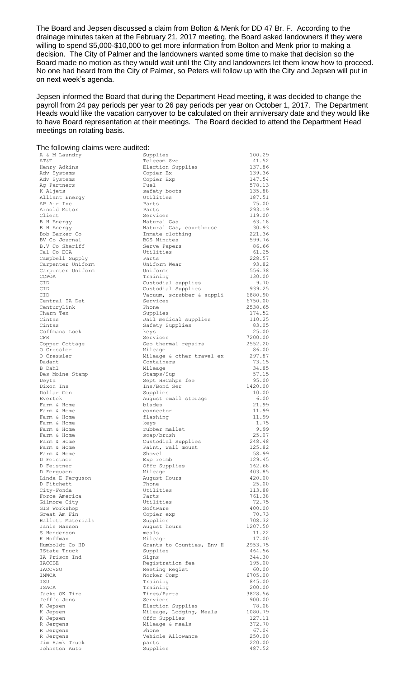The Board and Jepsen discussed a claim from Bolton & Menk for DD 47 Br. F. According to the drainage minutes taken at the February 21, 2017 meeting, the Board asked landowners if they were willing to spend \$5,000-\$10,000 to get more information from Bolton and Menk prior to making a decision. The City of Palmer and the landowners wanted some time to make that decision so the Board made no motion as they would wait until the City and landowners let them know how to proceed. No one had heard from the City of Palmer, so Peters will follow up with the City and Jepsen will put in on next week's agenda.

Jepsen informed the Board that during the Department Head meeting, it was decided to change the payroll from 24 pay periods per year to 26 pay periods per year on October 1, 2017. The Department Heads would like the vacation carryover to be calculated on their anniversary date and they would like to have Board representation at their meetings. The Board decided to attend the Department Head meetings on rotating basis.

| The following claims were audited:   |                                                 |                   |  |
|--------------------------------------|-------------------------------------------------|-------------------|--|
| A & M Laundry                        | Supplies                                        | 100.29            |  |
| AT&T                                 | Telecom Svc<br>Election Supplies                | 41.52<br>137.86   |  |
| Henry Adkins<br>Adv Systems          | Copier Ex                                       | 139.36            |  |
| Adv Systems                          | Copier Exp                                      | 147.54            |  |
| Ag Partners                          | Fuel                                            | 578.13            |  |
| K Aljets                             | safety boots<br>Utilities                       | 135.88<br>187.51  |  |
| Alliant Energy<br>AP Air Inc         | Parts                                           | 75.00             |  |
| Arnold Motor                         | Parts                                           | 293.19            |  |
| Client                               | Services                                        | 119.00            |  |
| <b>B</b> H Energy                    | Natural Gas                                     | 63.18             |  |
| B H Energy<br>Bob Barker Co          | Natural Gas, courthouse<br>Inmate clothing      | 30.93<br>221.36   |  |
| BV Co Journal                        | <b>BOS Minutes</b>                              | 599.76            |  |
| B.V Co Sheriff                       | Serve Papers                                    | 86.66             |  |
| Cal Co ECA                           | Utilities                                       | 61.25             |  |
| Campbell Supply<br>Carpenter Uniform | Parts<br>Uniform Wear                           | 228.57<br>93.82   |  |
| Carpenter Uniform                    | Uniforms                                        | 556.38            |  |
| CCPOA                                | Training                                        | 130.00            |  |
| CID                                  | Custodial supplies                              | 9.70              |  |
| CID<br><b>CID</b>                    | Custodial Supplies<br>Vacuum, scrubber & suppli | 939.25<br>6880.90 |  |
| Central IA Det                       | Services                                        | 6750.00           |  |
| CenturyLink                          | Phone                                           | 2538.65           |  |
| Charm-Tex                            | Supplies                                        | 174.52            |  |
| Cintas<br>Cintas                     | Jail medical supplies<br>Safety Supplies        | 110.25<br>83.05   |  |
| Coffmans Lock                        | keys                                            | 25.00             |  |
| <b>CFR</b>                           | Services                                        | 7200.00           |  |
| Copper Cottage                       | Geo thermal repairs                             | 2552.20           |  |
| 0 Cressler                           | Mileage                                         | 86.00             |  |
| 0 Cressler<br>Dadant                 | Mileage & other travel ex<br>Containers         | 297.87<br>73.15   |  |
| B Dahl                               | Mileage                                         | 34.85             |  |
| Des Moine Stamp                      | Stamps/Sup                                      | 57.15             |  |
| Deyta                                | Sept HHCahps fee                                | 95.00             |  |
| Dixon Ins<br>Dollar Gen              | Ins/Bond Ser<br>Supplies                        | 1420.00<br>10.00  |  |
| Evertek                              | August email storage                            | 6.00              |  |
| Farm & Home                          | blades                                          | 21.99             |  |
| Farm & Home                          | connector                                       | 11.99             |  |
| Farm & Home<br>Farm & Home           | flashing<br>keys                                | 11.99<br>1.75     |  |
| Farm & Home                          | rubber mallet                                   | 9.99              |  |
| Farm & Home                          | soap/brush                                      | 25.07             |  |
| Farm & Home                          | Custodial Supplies                              | 248.48            |  |
| Farm & Home<br>Farm & Home           | Paint, wall mount<br>Shovel                     | 125.82<br>58.99   |  |
| D Feistner                           | Exp reimb                                       | 129.45            |  |
| D Feistner                           | Offc Supplies                                   | 162.68            |  |
| D Ferquson                           | Mileage                                         | 403.85            |  |
| Linda E Ferguson<br>D Fitchett       | August Hours<br>Phone                           | 420.00<br>25.00   |  |
| City-Fonda                           | Utilities                                       | 113.88            |  |
| Force America                        | Parts                                           | 761.38            |  |
| Gilmore City                         | Utilities                                       | 72.75             |  |
| GIS Workshop<br>Great Am Fin         | Software<br>Copier exp                          | 400.00<br>70.73   |  |
| Hallett Materials                    | Supplies                                        | 708.32            |  |
| Janis Hanson                         | August hours                                    | 1207.50           |  |
| S Henderson                          | meals                                           | 11.22             |  |
| K Hoffman<br>Humboldt Co HD          | Mileage                                         | 17.00<br>2953.75  |  |
| IState Truck                         | Grants to Counties, Env H<br>Supplies           | 464.56            |  |
| IA Prison Ind                        | Signs                                           | 344.30            |  |
| IACCBE                               | Registration fee                                | 195.00            |  |
| IACCVSO                              | Meeting Regist                                  | 60.00             |  |
| IMWCA<br>ISU                         | Worker Comp<br>Training                         | 6705.00<br>845.00 |  |
| ISACA                                | Training                                        | 200.00            |  |
| Jacks OK Tire                        | Tires/Parts                                     | 3828.56           |  |
| Jeff's Jons                          | Services                                        | 900.00            |  |
| K Jepsen<br>K Jepsen                 | Election Supplies<br>Mileage, Lodging, Meals    | 78.08<br>1080.79  |  |
| K Jepsen                             | Offc Supplies                                   | 127.11            |  |
| R Jergens                            | Mileage & meals                                 | 372.70            |  |
| R Jergens                            | Phone                                           | 67.04             |  |
| R Jergens<br>Jim Hawk Truck          | Vehicle Allowance<br>parts                      | 250.00<br>220.00  |  |
| Johnston Auto                        | Supplies                                        | 487.52            |  |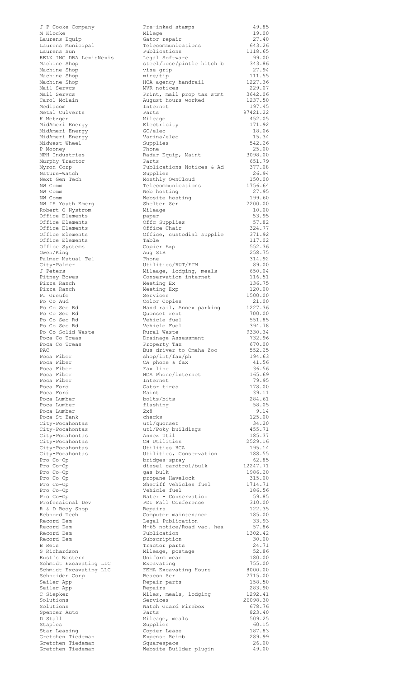| J P Cooke Company                      | Pre-inked stamps                                                           | 49.85              |
|----------------------------------------|----------------------------------------------------------------------------|--------------------|
| M Klocke                               | Milege                                                                     | 19.00              |
| Laurens Equip                          | Gator repair                                                               | 27.40              |
| Laurens Municipal                      | Telecommunications                                                         | 643.26             |
| Laurens Sun<br>RELX INC DBA LexisNexis | Publications<br>Legal Software                                             | 1118.65<br>99.00   |
| Machine Shop                           | steel/hose/pintle hitch b                                                  | 343.86             |
| Machine Shop                           | vise grip                                                                  | 27.94              |
| Machine Shop                           | wire/tip                                                                   | 111.55             |
| Machine Shop                           | HCA agency handrail                                                        | 1227.36            |
| Mail Servcs                            | MVR notices                                                                | 229.07             |
| Mail Servcs                            | Print, mail prop tax stmt                                                  | 3642.06            |
| Carol McLain<br>Mediacom               | August hours worked                                                        | 1237.50            |
| Metal Culverts                         | Internet<br>Parts                                                          | 197.45<br>97421.22 |
| K Metzger                              | Mileage                                                                    | 452.05             |
| MidAmeri Enerqy                        | Electricity                                                                | 171.92             |
| MidAmeri Energy                        | GC/elec                                                                    | 18.06              |
| MidAmeri Energy                        | Varina/elec                                                                | 15.34              |
| Midwest Wheel                          | Supplies                                                                   | 542.26             |
| P Mooney<br>MPH Industries             | Phone                                                                      | 25.00<br>3098.00   |
| Murphy Tractor                         | Radar Equip, Maint<br>Parts                                                | 651.79             |
| Myron Corp                             | Publications Notices & Ad                                                  | 377.08             |
| Nature-Watch                           | Supplies                                                                   | 26.94              |
| Next Gen Tech                          | Monthly OwnCloud                                                           | 150.00             |
| NW Comm                                | Telecommunications                                                         | 1756.64            |
| NW Comm                                | Web hosting                                                                | 27.95              |
| NW Comm                                | Website hosting                                                            | 199.60             |
| NW IA Youth Emerg<br>Robert O Nystrom  | Shelter Ser<br>Mileage                                                     | 2200.00<br>10.00   |
| Office Elements                        | paper                                                                      | 53.95              |
| Office Elements                        | Offc Supplies                                                              | 57.82              |
| Office Elements                        | Office Chair                                                               | 324.77             |
| Office Elements                        | Office, custodial supplie                                                  | 371.92             |
| Office Elements                        | Table                                                                      | 117.02             |
| Office Systems                         | Copier Exp                                                                 | 552.36             |
| Owen/King<br>Palmer Mutual Tel         | Aug SIR<br>Phone                                                           | 258.75<br>314.92   |
| City-Palmer                            | Utilities/RUT/FTM                                                          | 89.00              |
| J Peters                               | Mileage, lodging, meals                                                    | 650.04             |
| Pitney Bowes                           | Conservation internet                                                      | 116.51             |
| Pizza Ranch                            | Meeting Ex                                                                 | 136.75             |
| Pizza Ranch                            | Meeting Exp                                                                | 120.00             |
| PJ Greufe                              | Services                                                                   | 1500.00            |
| Po Co Aud<br>Po Co Sec Rd              | Color Copies<br>Hand rail, Annex parking                                   | 21.00<br>1227.36   |
| Po Co Sec Rd                           | Quonset rent                                                               | 700.00             |
| Po Co Sec Rd                           | Vehicle fuel                                                               | 551.85             |
| Po Co Sec Rd                           | Vehicle Fuel                                                               | 394.78             |
| Po Co Solid Waste                      | Rural Waste                                                                | 9330.34            |
| Poca Co Treas                          | Drainage Assessment                                                        | 732.96             |
| Poca Co Treas                          | Property Tax                                                               | 670.00             |
| PAC<br>Poca Fiber                      | Bus driver to Omaha Zoo<br>$\frac{\text{shop} / \text{int}}{\text{fax}}$ h | 552.25<br>194.63   |
| Poca Fiber                             | CA phone & fax                                                             | 41.56              |
| Poca Fiber                             | Fax line                                                                   | 36.56              |
| Poca Fiber                             | HCA Phone/internet                                                         | 165.69             |
| Poca Fiber                             | Internet                                                                   | 79.95              |
| Poca Ford                              | Gator tires                                                                | 178.00             |
| Poca Ford<br>Poca Lumber               | Maint<br>bolts/bits                                                        | 39.11<br>284.61    |
| Poca Lumber                            | flashing                                                                   | 58.05              |
| Poca Lumber                            | $2\times8$                                                                 | 9.14               |
| Poca St Bank                           | checks                                                                     | 125.00             |
| City-Pocahontas                        | utl/quonset                                                                | 34.20              |
| City-Pocahontas                        | utl/Poky buildings                                                         | 455.71             |
| City-Pocahontas                        | Annex Util                                                                 | 185.37             |
| City-Pocahontas<br>City-Pocahontas     | CH Utilities<br>Utilities HCA                                              | 2529.16<br>195.14  |
| City-Pocahontas                        | Utilities, Conservation                                                    | 188.55             |
| Pro Co-Op                              | bridges-spray                                                              | 62.85              |
| Pro Co-Op                              | diesel cardtrol/bulk                                                       | 12247.71           |
| Pro Co-Op                              | gas bulk                                                                   | 1986.20            |
| Pro Co-Op                              | propane Havelock                                                           | 315.00             |
| Pro Co-Op                              | Sheriff Vehicles fuel                                                      | 1714.71            |
| Pro Co-Op<br>Pro Co-Op                 | Vehicle fuel<br>Water - Conservation                                       | 186.56<br>59.85    |
| Professional Dev                       | PDI Fall Conference                                                        | 310.00             |
| R & D Body Shop                        | Repairs                                                                    | 122.35             |
| Rebnord Tech                           | Computer maintenance                                                       | 185.00             |
| Record Dem                             | Legal Publication                                                          | 33.93              |
| Record Dem                             | N-65 notice/Road vac. hea                                                  | 57.86              |
| Record Dem<br>Record Dem               | Publication<br>Subscription                                                | 1302.42<br>30.00   |
| B Reis                                 | Tractor parts                                                              | 24.71              |
| S Richardson                           | Mileage, postage                                                           | 52.86              |
| Rust's Western                         | Uniform wear                                                               | 180.00             |
| Schmidt Excavating LLC                 | Excavating                                                                 | 755.00             |
| Schmidt Excavating LLC                 | FEMA Excavating Hours                                                      | 8000.00            |
| Schneider Corp                         | Beacon Ser                                                                 | 2715.00            |
| Seiler App<br>Seiler App               | Repair parts<br>Repairs                                                    | 158.50<br>283.90   |
| C Siepker                              | Miles, meals, lodging                                                      | 1292.41            |
| Solutions                              | Services                                                                   | 26098.30           |
| Solutions                              | Watch Guard Firebox                                                        | 678.76             |
| Spencer Auto                           | Parts                                                                      | 823.40             |
| D Stall                                | Mileage, meals                                                             | 509.25             |
| Staples                                | Supplies                                                                   | 60.15              |
| Star Leasing<br>Gretchen Tiedeman      | Copier Lease<br>Expense Reimb                                              | 187.83<br>289.99   |
| Gretchen Tiedeman                      | Squarespace                                                                | 26.00              |
| Gretchen Tiedeman                      | Website Builder plugin                                                     | 49.00              |